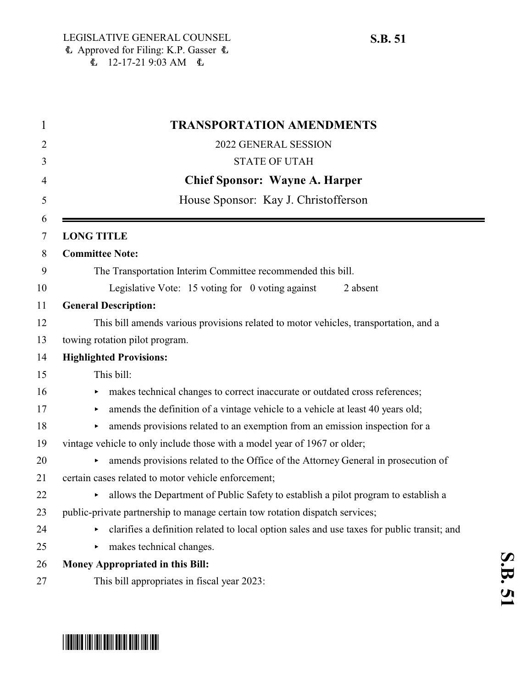| 1              | <b>TRANSPORTATION AMENDMENTS</b>                                                           |
|----------------|--------------------------------------------------------------------------------------------|
| $\overline{2}$ | 2022 GENERAL SESSION                                                                       |
| 3              | <b>STATE OF UTAH</b>                                                                       |
| 4              | <b>Chief Sponsor: Wayne A. Harper</b>                                                      |
| 5              | House Sponsor: Kay J. Christofferson                                                       |
| 6              |                                                                                            |
| 7              | <b>LONG TITLE</b>                                                                          |
| 8              | <b>Committee Note:</b>                                                                     |
| 9              | The Transportation Interim Committee recommended this bill.                                |
| 10             | Legislative Vote: 15 voting for 0 voting against<br>2 absent                               |
| 11             | <b>General Description:</b>                                                                |
| 12             | This bill amends various provisions related to motor vehicles, transportation, and a       |
| 13             | towing rotation pilot program.                                                             |
| 14             | <b>Highlighted Provisions:</b>                                                             |
| 15             | This bill:                                                                                 |
| 16             | makes technical changes to correct inaccurate or outdated cross references;<br>▶           |
| 17             | amends the definition of a vintage vehicle to a vehicle at least 40 years old;<br>▶        |
| 18             | amends provisions related to an exemption from an emission inspection for a<br>▶           |
| 19             | vintage vehicle to only include those with a model year of 1967 or older;                  |
| 20             | amends provisions related to the Office of the Attorney General in prosecution of          |
| 21             | certain cases related to motor vehicle enforcement;                                        |
| 22             | I allows the Department of Public Safety to establish a pilot program to establish a       |
| 23             | public-private partnership to manage certain tow rotation dispatch services;               |
| 24             | clarifies a definition related to local option sales and use taxes for public transit; and |
| 25             | makes technical changes.<br>▶                                                              |
| 26             | <b>Money Appropriated in this Bill:</b>                                                    |
| 27             | This bill appropriates in fiscal year 2023:                                                |

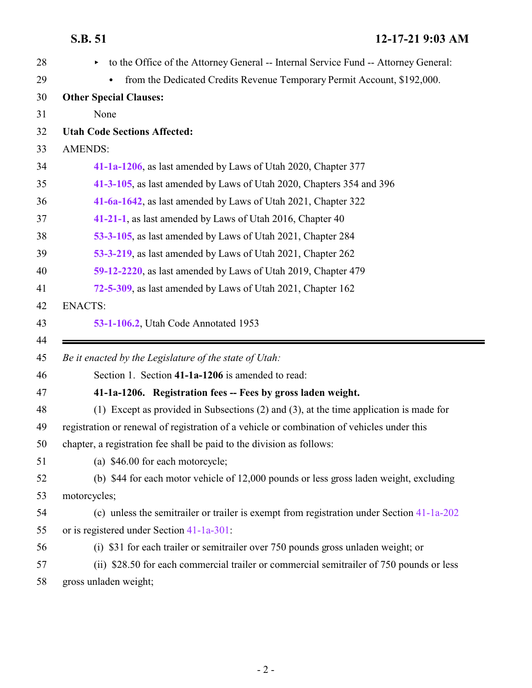<span id="page-1-0"></span>

| 28       | to the Office of the Attorney General -- Internal Service Fund -- Attorney General:         |
|----------|---------------------------------------------------------------------------------------------|
| 29       | from the Dedicated Credits Revenue Temporary Permit Account, \$192,000.                     |
| 30       | <b>Other Special Clauses:</b>                                                               |
| 31       | None                                                                                        |
| 32       | <b>Utah Code Sections Affected:</b>                                                         |
| 33       | <b>AMENDS:</b>                                                                              |
| 34       | 41-1a-1206, as last amended by Laws of Utah 2020, Chapter 377                               |
| 35       | 41-3-105, as last amended by Laws of Utah 2020, Chapters 354 and 396                        |
| 36       | 41-6a-1642, as last amended by Laws of Utah 2021, Chapter 322                               |
| 37       | 41-21-1, as last amended by Laws of Utah 2016, Chapter 40                                   |
| 38       | 53-3-105, as last amended by Laws of Utah 2021, Chapter 284                                 |
| 39       | 53-3-219, as last amended by Laws of Utah 2021, Chapter 262                                 |
| 40       | 59-12-2220, as last amended by Laws of Utah 2019, Chapter 479                               |
| 41       | 72-5-309, as last amended by Laws of Utah 2021, Chapter 162                                 |
| 42       | <b>ENACTS:</b>                                                                              |
| 43       | 53-1-106.2, Utah Code Annotated 1953                                                        |
|          |                                                                                             |
| 44<br>45 | Be it enacted by the Legislature of the state of Utah:                                      |
| 46       | Section 1. Section 41-1a-1206 is amended to read:                                           |
| 47       | 41-1a-1206. Registration fees -- Fees by gross laden weight.                                |
| 48       | (1) Except as provided in Subsections $(2)$ and $(3)$ , at the time application is made for |
| 49       | registration or renewal of registration of a vehicle or combination of vehicles under this  |
| 50       | chapter, a registration fee shall be paid to the division as follows:                       |
| 51       | (a) \$46.00 for each motorcycle;                                                            |
| 52       | (b) \$44 for each motor vehicle of 12,000 pounds or less gross laden weight, excluding      |
| 53       | motorcycles;                                                                                |
| 54       | (c) unless the semitrailer or trailer is exempt from registration under Section 41-1a-202   |
| 55       | or is registered under Section $41-1a-301$ :                                                |
| 56       | (i) \$31 for each trailer or semitrailer over 750 pounds gross unladen weight; or           |
| 57       | (ii) \$28.50 for each commercial trailer or commercial semitrailer of 750 pounds or less    |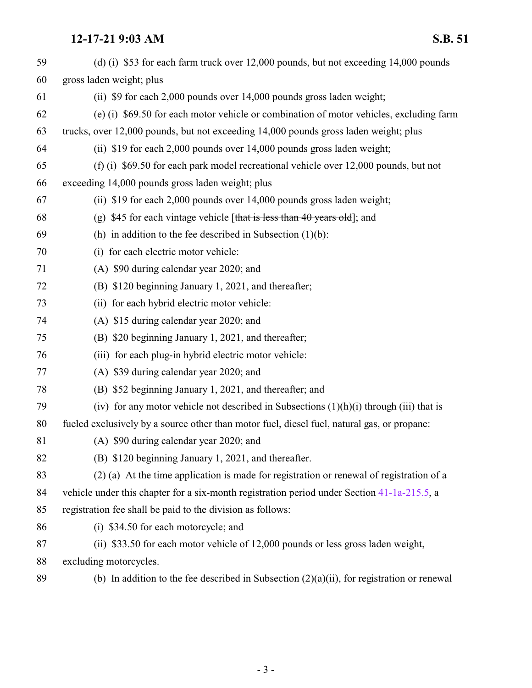| 59 | (d) (i) \$53 for each farm truck over 12,000 pounds, but not exceeding 14,000 pounds          |
|----|-----------------------------------------------------------------------------------------------|
| 60 | gross laden weight; plus                                                                      |
| 61 | (ii) \$9 for each 2,000 pounds over 14,000 pounds gross laden weight;                         |
| 62 | (e) (i) \$69.50 for each motor vehicle or combination of motor vehicles, excluding farm       |
| 63 | trucks, over 12,000 pounds, but not exceeding 14,000 pounds gross laden weight; plus          |
| 64 | (ii) \$19 for each 2,000 pounds over 14,000 pounds gross laden weight;                        |
| 65 | (f) (i) $$69.50$ for each park model recreational vehicle over 12,000 pounds, but not         |
| 66 | exceeding 14,000 pounds gross laden weight; plus                                              |
| 67 | (ii) \$19 for each 2,000 pounds over 14,000 pounds gross laden weight;                        |
| 68 | (g) \$45 for each vintage vehicle [that is less than 40 years old]; and                       |
| 69 | (h) in addition to the fee described in Subsection $(1)(b)$ :                                 |
| 70 | (i) for each electric motor vehicle:                                                          |
| 71 | (A) \$90 during calendar year 2020; and                                                       |
| 72 | (B) \$120 beginning January 1, 2021, and thereafter;                                          |
| 73 | (ii) for each hybrid electric motor vehicle:                                                  |
| 74 | (A) \$15 during calendar year 2020; and                                                       |
| 75 | (B) \$20 beginning January 1, 2021, and thereafter;                                           |
| 76 | (iii) for each plug-in hybrid electric motor vehicle:                                         |
| 77 | (A) \$39 during calendar year 2020; and                                                       |
| 78 | (B) \$52 beginning January 1, 2021, and thereafter; and                                       |
| 79 | (iv) for any motor vehicle not described in Subsections $(1)(h)(i)$ through (iii) that is     |
| 80 | fueled exclusively by a source other than motor fuel, diesel fuel, natural gas, or propane:   |
| 81 | (A) \$90 during calendar year 2020; and                                                       |
| 82 | (B) \$120 beginning January 1, 2021, and thereafter.                                          |
| 83 | (2) (a) At the time application is made for registration or renewal of registration of a      |
| 84 | vehicle under this chapter for a six-month registration period under Section 41-1a-215.5, a   |
| 85 | registration fee shall be paid to the division as follows:                                    |
| 86 | (i) \$34.50 for each motorcycle; and                                                          |
| 87 | (ii) \$33.50 for each motor vehicle of 12,000 pounds or less gross laden weight,              |
| 88 | excluding motorcycles.                                                                        |
| 89 | (b) In addition to the fee described in Subsection $(2)(a)(ii)$ , for registration or renewal |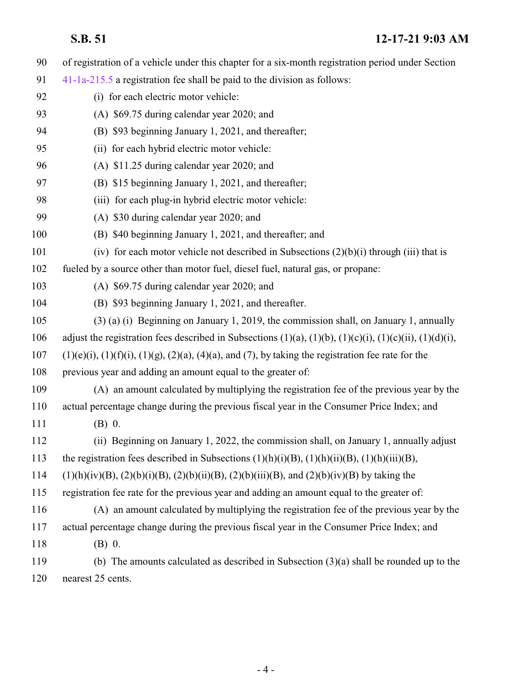of registration of a vehicle under this chapter for a six-month registration period under Section [41-1a-215.5](http://le.utah.gov/UtahCode/SectionLookup.jsp?section=41-1a-215.5&session=2022GS) a registration fee shall be paid to the division as follows: (i) for each electric motor vehicle: (A) \$69.75 during calendar year 2020; and (B) \$93 beginning January 1, 2021, and thereafter; (ii) for each hybrid electric motor vehicle: (A) \$11.25 during calendar year 2020; and (B) \$15 beginning January 1, 2021, and thereafter; 98 (iii) for each plug-in hybrid electric motor vehicle: (A) \$30 during calendar year 2020; and (B) \$40 beginning January 1, 2021, and thereafter; and 101 (iv) for each motor vehicle not described in Subsections  $(2)(b)(i)$  through (iii) that is fueled by a source other than motor fuel, diesel fuel, natural gas, or propane: (A) \$69.75 during calendar year 2020; and (B) \$93 beginning January 1, 2021, and thereafter. (3) (a) (i) Beginning on January 1, 2019, the commission shall, on January 1, annually 106 adjust the registration fees described in Subsections  $(1)(a)$ ,  $(1)(b)$ ,  $(1)(c)(i)$ ,  $(1)(c)(ii)$ ,  $(1)(d)(i)$ , (1)(e)(i), (1)(f)(i), (1)(g), (2)(a), (4)(a), and (7), by taking the registration fee rate for the previous year and adding an amount equal to the greater of: (A) an amount calculated by multiplying the registration fee of the previous year by the actual percentage change during the previous fiscal year in the Consumer Price Index; and (B) 0. (ii) Beginning on January 1, 2022, the commission shall, on January 1, annually adjust the registration fees described in Subsections (1)(h)(i)(B), (1)(h)(ii)(B), (1)(h)(iii)(B), 114 (1)(h)(iv)(B), (2)(b)(i)(B), (2)(b)(ii)(B), (2)(b)(iii)(B), and (2)(b)(iv)(B) by taking the registration fee rate for the previous year and adding an amount equal to the greater of: (A) an amount calculated by multiplying the registration fee of the previous year by the actual percentage change during the previous fiscal year in the Consumer Price Index; and (B) 0. (b) The amounts calculated as described in Subsection (3)(a) shall be rounded up to the nearest 25 cents.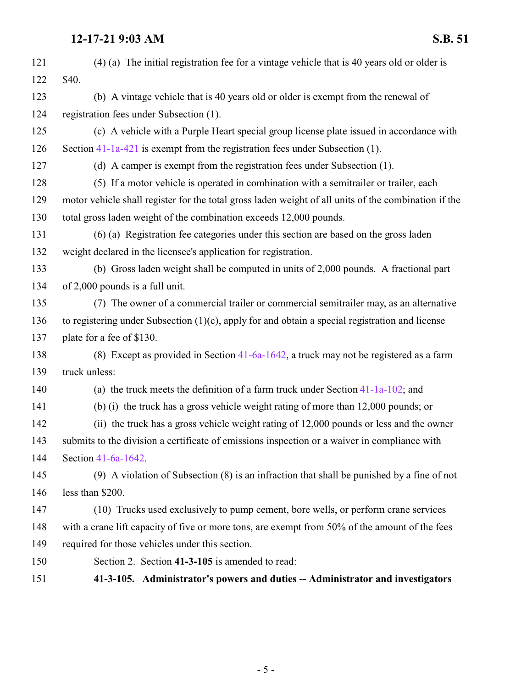<span id="page-4-0"></span>

| 121 | $(4)$ (a) The initial registration fee for a vintage vehicle that is 40 years old or older is        |
|-----|------------------------------------------------------------------------------------------------------|
| 122 | \$40.                                                                                                |
| 123 | (b) A vintage vehicle that is 40 years old or older is exempt from the renewal of                    |
| 124 | registration fees under Subsection (1).                                                              |
| 125 | (c) A vehicle with a Purple Heart special group license plate issued in accordance with              |
| 126 | Section 41-1a-421 is exempt from the registration fees under Subsection (1).                         |
| 127 | (d) A camper is exempt from the registration fees under Subsection (1).                              |
| 128 | (5) If a motor vehicle is operated in combination with a semitrailer or trailer, each                |
| 129 | motor vehicle shall register for the total gross laden weight of all units of the combination if the |
| 130 | total gross laden weight of the combination exceeds 12,000 pounds.                                   |
| 131 | (6) (a) Registration fee categories under this section are based on the gross laden                  |
| 132 | weight declared in the licensee's application for registration.                                      |
| 133 | (b) Gross laden weight shall be computed in units of 2,000 pounds. A fractional part                 |
| 134 | of 2,000 pounds is a full unit.                                                                      |
| 135 | (7) The owner of a commercial trailer or commercial semitrailer may, as an alternative               |
| 136 | to registering under Subsection $(1)(c)$ , apply for and obtain a special registration and license   |
| 137 | plate for a fee of \$130.                                                                            |
| 138 | (8) Except as provided in Section 41-6a-1642, a truck may not be registered as a farm                |
| 139 | truck unless:                                                                                        |
| 140 | (a) the truck meets the definition of a farm truck under Section $41-1a-102$ ; and                   |
| 141 | (b) (i) the truck has a gross vehicle weight rating of more than 12,000 pounds; or                   |
| 142 | (ii) the truck has a gross vehicle weight rating of 12,000 pounds or less and the owner              |
| 143 | submits to the division a certificate of emissions inspection or a waiver in compliance with         |
| 144 | Section 41-6a-1642.                                                                                  |
| 145 | $(9)$ A violation of Subsection $(8)$ is an infraction that shall be punished by a fine of not       |
| 146 | less than \$200.                                                                                     |
| 147 | (10) Trucks used exclusively to pump cement, bore wells, or perform crane services                   |
| 148 | with a crane lift capacity of five or more tons, are exempt from 50% of the amount of the fees       |
| 149 | required for those vehicles under this section.                                                      |
| 150 | Section 2. Section 41-3-105 is amended to read:                                                      |
| 151 | 41-3-105. Administrator's powers and duties -- Administrator and investigators                       |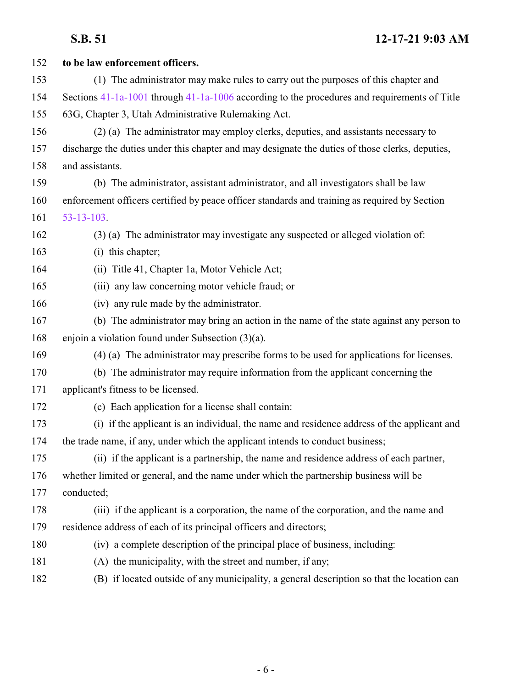| 152 | to be law enforcement officers.                                                                  |
|-----|--------------------------------------------------------------------------------------------------|
| 153 | (1) The administrator may make rules to carry out the purposes of this chapter and               |
| 154 | Sections $41-1a-1001$ through $41-1a-1006$ according to the procedures and requirements of Title |
| 155 | 63G, Chapter 3, Utah Administrative Rulemaking Act.                                              |
| 156 | (2) (a) The administrator may employ clerks, deputies, and assistants necessary to               |
| 157 | discharge the duties under this chapter and may designate the duties of those clerks, deputies,  |
| 158 | and assistants.                                                                                  |
| 159 | (b) The administrator, assistant administrator, and all investigators shall be law               |
| 160 | enforcement officers certified by peace officer standards and training as required by Section    |
| 161 | $53 - 13 - 103$ .                                                                                |
| 162 | (3) (a) The administrator may investigate any suspected or alleged violation of:                 |
| 163 | (i) this chapter;                                                                                |
| 164 | (ii) Title 41, Chapter 1a, Motor Vehicle Act;                                                    |
| 165 | (iii) any law concerning motor vehicle fraud; or                                                 |
| 166 | (iv) any rule made by the administrator.                                                         |
| 167 | (b) The administrator may bring an action in the name of the state against any person to         |
| 168 | enjoin a violation found under Subsection $(3)(a)$ .                                             |
| 169 | (4) (a) The administrator may prescribe forms to be used for applications for licenses.          |
| 170 | (b) The administrator may require information from the applicant concerning the                  |
| 171 | applicant's fitness to be licensed.                                                              |
| 172 | (c) Each application for a license shall contain:                                                |
| 173 | (i) if the applicant is an individual, the name and residence address of the applicant and       |
| 174 | the trade name, if any, under which the applicant intends to conduct business;                   |
| 175 | (ii) if the applicant is a partnership, the name and residence address of each partner,          |
| 176 | whether limited or general, and the name under which the partnership business will be            |
| 177 | conducted;                                                                                       |
| 178 | (iii) if the applicant is a corporation, the name of the corporation, and the name and           |
| 179 | residence address of each of its principal officers and directors;                               |
| 180 | (iv) a complete description of the principal place of business, including:                       |
| 181 | (A) the municipality, with the street and number, if any;                                        |
| 182 | (B) if located outside of any municipality, a general description so that the location can       |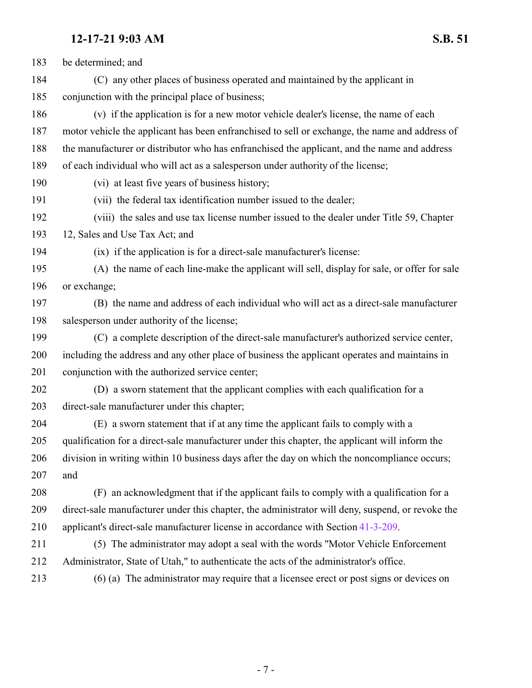| 183 | be determined; and                                                                               |
|-----|--------------------------------------------------------------------------------------------------|
| 184 | (C) any other places of business operated and maintained by the applicant in                     |
| 185 | conjunction with the principal place of business;                                                |
| 186 | (v) if the application is for a new motor vehicle dealer's license, the name of each             |
| 187 | motor vehicle the applicant has been enfranchised to sell or exchange, the name and address of   |
| 188 | the manufacturer or distributor who has enfranchised the applicant, and the name and address     |
| 189 | of each individual who will act as a salesperson under authority of the license;                 |
| 190 | (vi) at least five years of business history;                                                    |
| 191 | (vii) the federal tax identification number issued to the dealer;                                |
| 192 | (viii) the sales and use tax license number issued to the dealer under Title 59, Chapter         |
| 193 | 12, Sales and Use Tax Act; and                                                                   |
| 194 | (ix) if the application is for a direct-sale manufacturer's license:                             |
| 195 | (A) the name of each line-make the applicant will sell, display for sale, or offer for sale      |
| 196 | or exchange;                                                                                     |
| 197 | (B) the name and address of each individual who will act as a direct-sale manufacturer           |
| 198 | salesperson under authority of the license;                                                      |
| 199 | (C) a complete description of the direct-sale manufacturer's authorized service center,          |
| 200 | including the address and any other place of business the applicant operates and maintains in    |
| 201 | conjunction with the authorized service center;                                                  |
| 202 | (D) a sworn statement that the applicant complies with each qualification for a                  |
| 203 | direct-sale manufacturer under this chapter;                                                     |
| 204 | (E) a sworn statement that if at any time the applicant fails to comply with a                   |
| 205 | qualification for a direct-sale manufacturer under this chapter, the applicant will inform the   |
| 206 | division in writing within 10 business days after the day on which the noncompliance occurs;     |
| 207 | and                                                                                              |
| 208 | (F) an acknowledgment that if the applicant fails to comply with a qualification for a           |
| 209 | direct-sale manufacturer under this chapter, the administrator will deny, suspend, or revoke the |
| 210 | applicant's direct-sale manufacturer license in accordance with Section 41-3-209.                |
| 211 | (5) The administrator may adopt a seal with the words "Motor Vehicle Enforcement                 |
| 212 | Administrator, State of Utah," to authenticate the acts of the administrator's office.           |
| 213 | (6) (a) The administrator may require that a licensee erect or post signs or devices on          |
|     |                                                                                                  |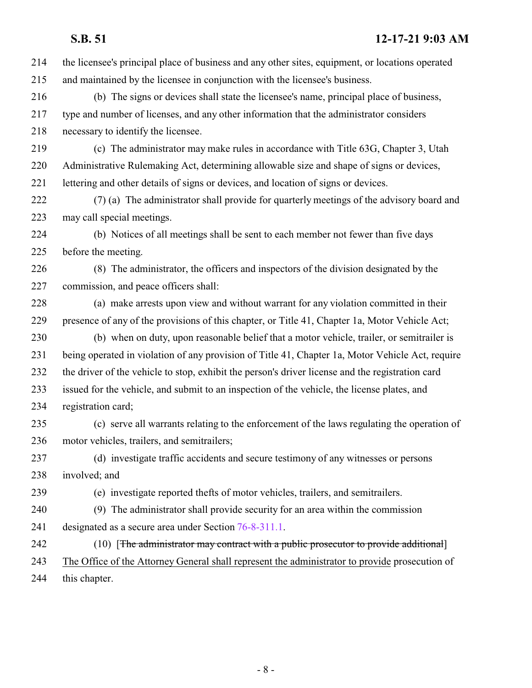| 214 | the licensee's principal place of business and any other sites, equipment, or locations operated |
|-----|--------------------------------------------------------------------------------------------------|
| 215 | and maintained by the licensee in conjunction with the licensee's business.                      |
| 216 | (b) The signs or devices shall state the licensee's name, principal place of business,           |
| 217 | type and number of licenses, and any other information that the administrator considers          |
| 218 | necessary to identify the licensee.                                                              |
| 219 | (c) The administrator may make rules in accordance with Title 63G, Chapter 3, Utah               |
| 220 | Administrative Rulemaking Act, determining allowable size and shape of signs or devices,         |
| 221 | lettering and other details of signs or devices, and location of signs or devices.               |
| 222 | (7) (a) The administrator shall provide for quarterly meetings of the advisory board and         |
| 223 | may call special meetings.                                                                       |
| 224 | (b) Notices of all meetings shall be sent to each member not fewer than five days                |
| 225 | before the meeting.                                                                              |
| 226 | (8) The administrator, the officers and inspectors of the division designated by the             |
| 227 | commission, and peace officers shall:                                                            |
| 228 | (a) make arrests upon view and without warrant for any violation committed in their              |
| 229 | presence of any of the provisions of this chapter, or Title 41, Chapter 1a, Motor Vehicle Act;   |
| 230 | (b) when on duty, upon reasonable belief that a motor vehicle, trailer, or semitrailer is        |
| 231 | being operated in violation of any provision of Title 41, Chapter 1a, Motor Vehicle Act, require |
| 232 | the driver of the vehicle to stop, exhibit the person's driver license and the registration card |
| 233 | issued for the vehicle, and submit to an inspection of the vehicle, the license plates, and      |
| 234 | registration card;                                                                               |
| 235 | (c) serve all warrants relating to the enforcement of the laws regulating the operation of       |
| 236 | motor vehicles, trailers, and semitrailers;                                                      |
| 237 | (d) investigate traffic accidents and secure testimony of any witnesses or persons               |
| 238 | involved; and                                                                                    |
| 239 | (e) investigate reported thefts of motor vehicles, trailers, and semitrailers.                   |
| 240 | (9) The administrator shall provide security for an area within the commission                   |
| 241 | designated as a secure area under Section 76-8-311.1.                                            |
| 242 | (10) [The administrator may contract with a public prosecutor to provide additional]             |
| 243 | The Office of the Attorney General shall represent the administrator to provide prosecution of   |
| 244 | this chapter.                                                                                    |
|     |                                                                                                  |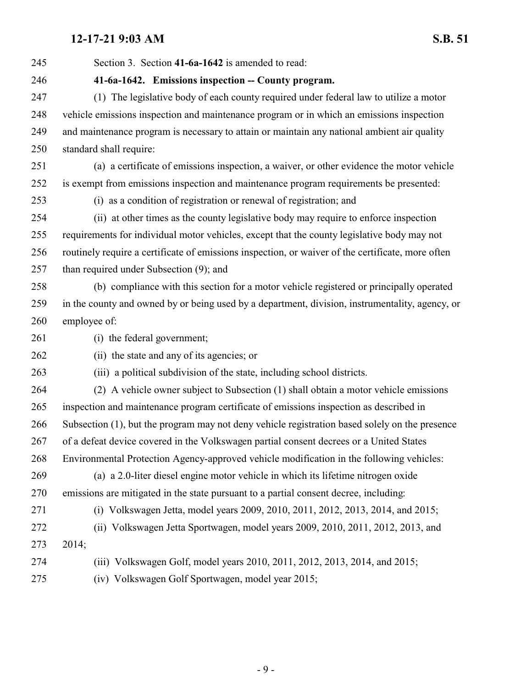<span id="page-8-0"></span> Section 3. Section **41-6a-1642** is amended to read: **41-6a-1642. Emissions inspection -- County program.** (1) The legislative body of each county required under federal law to utilize a motor vehicle emissions inspection and maintenance program or in which an emissions inspection and maintenance program is necessary to attain or maintain any national ambient air quality standard shall require: (a) a certificate of emissions inspection, a waiver, or other evidence the motor vehicle is exempt from emissions inspection and maintenance program requirements be presented: (i) as a condition of registration or renewal of registration; and (ii) at other times as the county legislative body may require to enforce inspection requirements for individual motor vehicles, except that the county legislative body may not routinely require a certificate of emissions inspection, or waiver of the certificate, more often than required under Subsection (9); and (b) compliance with this section for a motor vehicle registered or principally operated in the county and owned by or being used by a department, division, instrumentality, agency, or employee of: (i) the federal government; (ii) the state and any of its agencies; or (iii) a political subdivision of the state, including school districts. (2) A vehicle owner subject to Subsection (1) shall obtain a motor vehicle emissions inspection and maintenance program certificate of emissions inspection as described in Subsection (1), but the program may not deny vehicle registration based solely on the presence of a defeat device covered in the Volkswagen partial consent decrees or a United States Environmental Protection Agency-approved vehicle modification in the following vehicles: (a) a 2.0-liter diesel engine motor vehicle in which its lifetime nitrogen oxide emissions are mitigated in the state pursuant to a partial consent decree, including: (i) Volkswagen Jetta, model years 2009, 2010, 2011, 2012, 2013, 2014, and 2015; (ii) Volkswagen Jetta Sportwagen, model years 2009, 2010, 2011, 2012, 2013, and 2014; (iii) Volkswagen Golf, model years 2010, 2011, 2012, 2013, 2014, and 2015; (iv) Volkswagen Golf Sportwagen, model year 2015;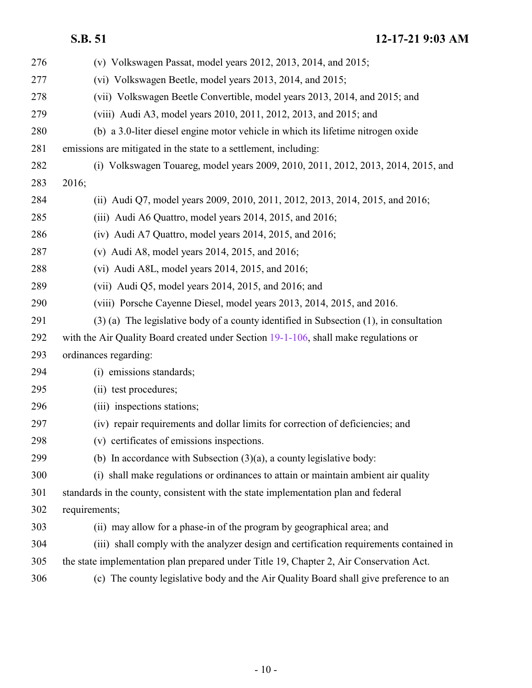| 276 | (v) Volkswagen Passat, model years $2012$ , $2013$ , $2014$ , and $2015$ ;                  |
|-----|---------------------------------------------------------------------------------------------|
| 277 | (vi) Volkswagen Beetle, model years 2013, 2014, and 2015;                                   |
| 278 | (vii) Volkswagen Beetle Convertible, model years 2013, 2014, and 2015; and                  |
| 279 | (viii) Audi A3, model years 2010, 2011, 2012, 2013, and 2015; and                           |
| 280 | (b) a 3.0-liter diesel engine motor vehicle in which its lifetime nitrogen oxide            |
| 281 | emissions are mitigated in the state to a settlement, including:                            |
| 282 | (i) Volkswagen Touareg, model years 2009, 2010, 2011, 2012, 2013, 2014, 2015, and           |
| 283 | 2016;                                                                                       |
| 284 | (ii) Audi Q7, model years 2009, 2010, 2011, 2012, 2013, 2014, 2015, and 2016;               |
| 285 | (iii) Audi A6 Quattro, model years 2014, 2015, and 2016;                                    |
| 286 | $(iv)$ Audi A7 Quattro, model years 2014, 2015, and 2016;                                   |
| 287 | (v) Audi A8, model years 2014, 2015, and 2016;                                              |
| 288 | (vi) Audi A8L, model years $2014$ , $2015$ , and $2016$ ;                                   |
| 289 | (vii) Audi Q5, model years $2014$ , $2015$ , and $2016$ ; and                               |
| 290 | (viii) Porsche Cayenne Diesel, model years 2013, 2014, 2015, and 2016.                      |
| 291 | $(3)$ (a) The legislative body of a county identified in Subsection $(1)$ , in consultation |
| 292 | with the Air Quality Board created under Section 19-1-106, shall make regulations or        |
| 293 | ordinances regarding:                                                                       |
| 294 | (i) emissions standards;                                                                    |
| 295 | (ii) test procedures;                                                                       |
| 296 | (iii) inspections stations;                                                                 |
| 297 | (iv) repair requirements and dollar limits for correction of deficiencies; and              |
| 298 | (v) certificates of emissions inspections.                                                  |
| 299 | (b) In accordance with Subsection $(3)(a)$ , a county legislative body:                     |
| 300 | (i) shall make regulations or ordinances to attain or maintain ambient air quality          |
| 301 | standards in the county, consistent with the state implementation plan and federal          |
| 302 | requirements;                                                                               |
| 303 | (ii) may allow for a phase-in of the program by geographical area; and                      |
| 304 | (iii) shall comply with the analyzer design and certification requirements contained in     |
| 305 | the state implementation plan prepared under Title 19, Chapter 2, Air Conservation Act.     |
| 306 | (c) The county legislative body and the Air Quality Board shall give preference to an       |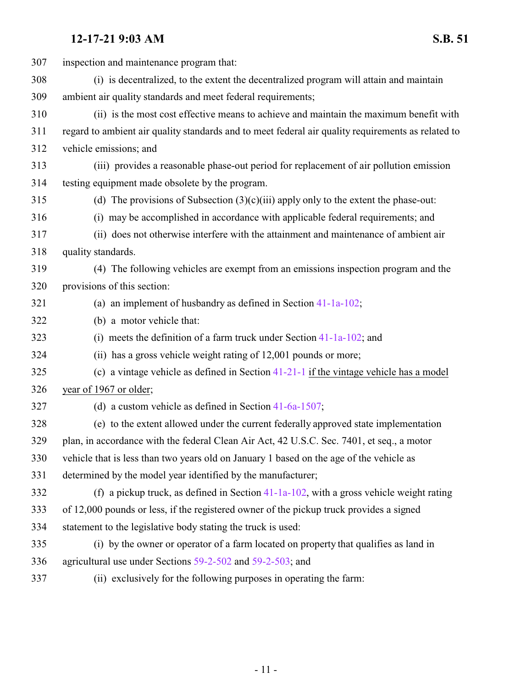| 307 | inspection and maintenance program that:                                                           |
|-----|----------------------------------------------------------------------------------------------------|
| 308 | (i) is decentralized, to the extent the decentralized program will attain and maintain             |
| 309 | ambient air quality standards and meet federal requirements;                                       |
| 310 | (ii) is the most cost effective means to achieve and maintain the maximum benefit with             |
| 311 | regard to ambient air quality standards and to meet federal air quality requirements as related to |
| 312 | vehicle emissions; and                                                                             |
| 313 | (iii) provides a reasonable phase-out period for replacement of air pollution emission             |
| 314 | testing equipment made obsolete by the program.                                                    |
| 315 | (d) The provisions of Subsection $(3)(c)(iii)$ apply only to the extent the phase-out:             |
| 316 | (i) may be accomplished in accordance with applicable federal requirements; and                    |
| 317 | (ii) does not otherwise interfere with the attainment and maintenance of ambient air               |
| 318 | quality standards.                                                                                 |
| 319 | (4) The following vehicles are exempt from an emissions inspection program and the                 |
| 320 | provisions of this section:                                                                        |
| 321 | (a) an implement of husbandry as defined in Section $41-1a-102$ ;                                  |
| 322 | (b) a motor vehicle that:                                                                          |
| 323 | (i) meets the definition of a farm truck under Section $41-1a-102$ ; and                           |
| 324 | (ii) has a gross vehicle weight rating of 12,001 pounds or more;                                   |
| 325 | (c) a vintage vehicle as defined in Section $41-21-1$ if the vintage vehicle has a model           |
| 326 | year of 1967 or older;                                                                             |
| 327 | (d) a custom vehicle as defined in Section $41-6a-1507$ ;                                          |
| 328 | (e) to the extent allowed under the current federally approved state implementation                |
| 329 | plan, in accordance with the federal Clean Air Act, 42 U.S.C. Sec. 7401, et seq., a motor          |
| 330 | vehicle that is less than two years old on January 1 based on the age of the vehicle as            |
| 331 | determined by the model year identified by the manufacturer;                                       |
| 332 | (f) a pickup truck, as defined in Section $41-1a-102$ , with a gross vehicle weight rating         |
| 333 | of 12,000 pounds or less, if the registered owner of the pickup truck provides a signed            |
| 334 | statement to the legislative body stating the truck is used:                                       |
| 335 | (i) by the owner or operator of a farm located on property that qualifies as land in               |
| 336 | agricultural use under Sections 59-2-502 and 59-2-503; and                                         |
|     |                                                                                                    |

(ii) exclusively for the following purposes in operating the farm: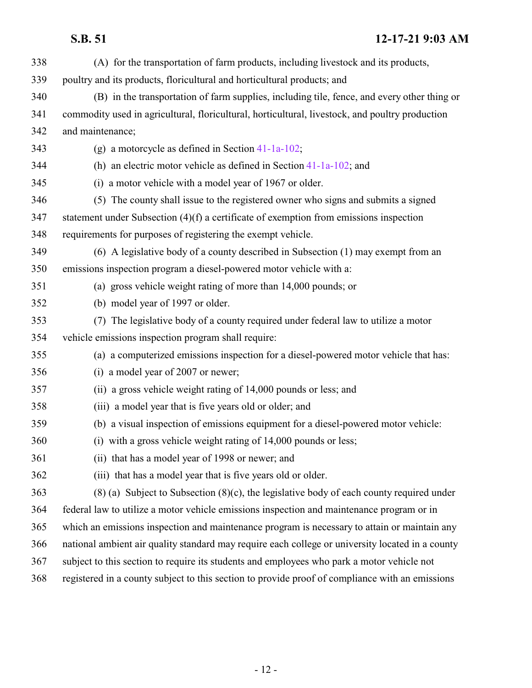| 338 | (A) for the transportation of farm products, including livestock and its products,               |
|-----|--------------------------------------------------------------------------------------------------|
| 339 | poultry and its products, floricultural and horticultural products; and                          |
| 340 | (B) in the transportation of farm supplies, including tile, fence, and every other thing or      |
| 341 | commodity used in agricultural, floricultural, horticultural, livestock, and poultry production  |
| 342 | and maintenance;                                                                                 |
| 343 | (g) a motorcycle as defined in Section $41-1a-102$ ;                                             |
| 344 | (h) an electric motor vehicle as defined in Section $41-1a-102$ ; and                            |
| 345 | (i) a motor vehicle with a model year of 1967 or older.                                          |
| 346 | (5) The county shall issue to the registered owner who signs and submits a signed                |
| 347 | statement under Subsection $(4)(f)$ a certificate of exemption from emissions inspection         |
| 348 | requirements for purposes of registering the exempt vehicle.                                     |
| 349 | (6) A legislative body of a county described in Subsection (1) may exempt from an                |
| 350 | emissions inspection program a diesel-powered motor vehicle with a:                              |
| 351 | (a) gross vehicle weight rating of more than 14,000 pounds; or                                   |
| 352 | (b) model year of 1997 or older.                                                                 |
| 353 | (7) The legislative body of a county required under federal law to utilize a motor               |
| 354 | vehicle emissions inspection program shall require:                                              |
| 355 | (a) a computerized emissions inspection for a diesel-powered motor vehicle that has:             |
| 356 | (i) a model year of 2007 or newer;                                                               |
| 357 | (ii) a gross vehicle weight rating of 14,000 pounds or less; and                                 |
| 358 | (iii) a model year that is five years old or older; and                                          |
| 359 | (b) a visual inspection of emissions equipment for a diesel-powered motor vehicle:               |
| 360 | (i) with a gross vehicle weight rating of 14,000 pounds or less;                                 |
| 361 | (ii) that has a model year of 1998 or newer; and                                                 |
| 362 | (iii) that has a model year that is five years old or older.                                     |
| 363 | $(8)$ (a) Subject to Subsection $(8)(c)$ , the legislative body of each county required under    |
| 364 | federal law to utilize a motor vehicle emissions inspection and maintenance program or in        |
| 365 | which an emissions inspection and maintenance program is necessary to attain or maintain any     |
| 366 | national ambient air quality standard may require each college or university located in a county |
| 367 | subject to this section to require its students and employees who park a motor vehicle not       |
| 368 | registered in a county subject to this section to provide proof of compliance with an emissions  |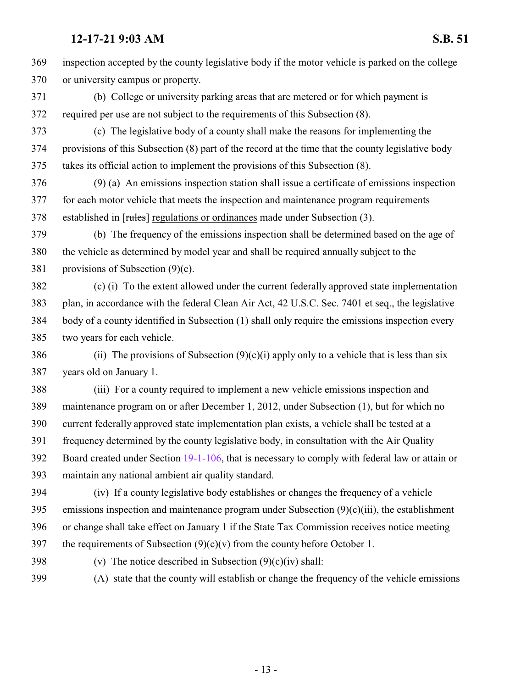inspection accepted by the county legislative body if the motor vehicle is parked on the college or university campus or property. (b) College or university parking areas that are metered or for which payment is required per use are not subject to the requirements of this Subsection (8). (c) The legislative body of a county shall make the reasons for implementing the provisions of this Subsection (8) part of the record at the time that the county legislative body takes its official action to implement the provisions of this Subsection (8). (9) (a) An emissions inspection station shall issue a certificate of emissions inspection for each motor vehicle that meets the inspection and maintenance program requirements established in [rules] regulations or ordinances made under Subsection (3). (b) The frequency of the emissions inspection shall be determined based on the age of the vehicle as determined by model year and shall be required annually subject to the provisions of Subsection (9)(c). (c) (i) To the extent allowed under the current federally approved state implementation plan, in accordance with the federal Clean Air Act, 42 U.S.C. Sec. 7401 et seq., the legislative body of a county identified in Subsection (1) shall only require the emissions inspection every two years for each vehicle. 386 (ii) The provisions of Subsection  $(9)(c)(i)$  apply only to a vehicle that is less than six years old on January 1. (iii) For a county required to implement a new vehicle emissions inspection and maintenance program on or after December 1, 2012, under Subsection (1), but for which no current federally approved state implementation plan exists, a vehicle shall be tested at a frequency determined by the county legislative body, in consultation with the Air Quality Board created under Section [19-1-106](http://le.utah.gov/UtahCode/SectionLookup.jsp?section=19-1-106&session=2022GS), that is necessary to comply with federal law or attain or maintain any national ambient air quality standard.

 (iv) If a county legislative body establishes or changes the frequency of a vehicle 395 emissions inspection and maintenance program under Subsection  $(9)(c)(iii)$ , the establishment or change shall take effect on January 1 if the State Tax Commission receives notice meeting 397 the requirements of Subsection  $(9)(c)(v)$  from the county before October 1.

398 (v) The notice described in Subsection  $(9)(c)(iv)$  shall:

(A) state that the county will establish or change the frequency of the vehicle emissions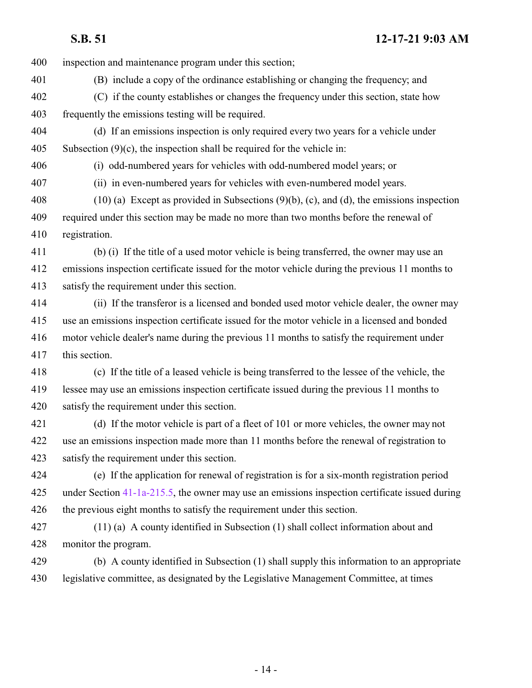inspection and maintenance program under this section;

- (B) include a copy of the ordinance establishing or changing the frequency; and
- (C) if the county establishes or changes the frequency under this section, state how frequently the emissions testing will be required.
- (d) If an emissions inspection is only required every two years for a vehicle under 405 Subsection  $(9)(c)$ , the inspection shall be required for the vehicle in:

(i) odd-numbered years for vehicles with odd-numbered model years; or

(ii) in even-numbered years for vehicles with even-numbered model years.

 (10) (a) Except as provided in Subsections (9)(b), (c), and (d), the emissions inspection required under this section may be made no more than two months before the renewal of registration.

 (b) (i) If the title of a used motor vehicle is being transferred, the owner may use an emissions inspection certificate issued for the motor vehicle during the previous 11 months to satisfy the requirement under this section.

 (ii) If the transferor is a licensed and bonded used motor vehicle dealer, the owner may use an emissions inspection certificate issued for the motor vehicle in a licensed and bonded motor vehicle dealer's name during the previous 11 months to satisfy the requirement under this section.

 (c) If the title of a leased vehicle is being transferred to the lessee of the vehicle, the lessee may use an emissions inspection certificate issued during the previous 11 months to satisfy the requirement under this section.

 (d) If the motor vehicle is part of a fleet of 101 or more vehicles, the owner may not use an emissions inspection made more than 11 months before the renewal of registration to satisfy the requirement under this section.

 (e) If the application for renewal of registration is for a six-month registration period under Section [41-1a-215.5](http://le.utah.gov/UtahCode/SectionLookup.jsp?section=41-1a-215.5&session=2022GS), the owner may use an emissions inspection certificate issued during the previous eight months to satisfy the requirement under this section.

 (11) (a) A county identified in Subsection (1) shall collect information about and monitor the program.

 (b) A county identified in Subsection (1) shall supply this information to an appropriate legislative committee, as designated by the Legislative Management Committee, at times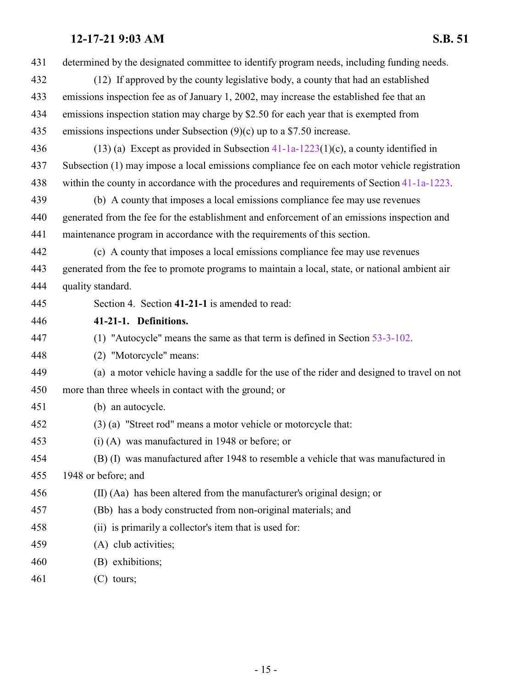<span id="page-14-0"></span>

| 431 | determined by the designated committee to identify program needs, including funding needs.     |
|-----|------------------------------------------------------------------------------------------------|
| 432 | (12) If approved by the county legislative body, a county that had an established              |
| 433 | emissions inspection fee as of January 1, 2002, may increase the established fee that an       |
| 434 | emissions inspection station may charge by \$2.50 for each year that is exempted from          |
| 435 | emissions inspections under Subsection $(9)(c)$ up to a \$7.50 increase.                       |
| 436 | (13) (a) Except as provided in Subsection $41-1a-1223(1)(c)$ , a county identified in          |
| 437 | Subsection (1) may impose a local emissions compliance fee on each motor vehicle registration  |
| 438 | within the county in accordance with the procedures and requirements of Section 41-1a-1223.    |
| 439 | (b) A county that imposes a local emissions compliance fee may use revenues                    |
| 440 | generated from the fee for the establishment and enforcement of an emissions inspection and    |
| 441 | maintenance program in accordance with the requirements of this section.                       |
| 442 | (c) A county that imposes a local emissions compliance fee may use revenues                    |
| 443 | generated from the fee to promote programs to maintain a local, state, or national ambient air |
| 444 | quality standard.                                                                              |
| 445 | Section 4. Section 41-21-1 is amended to read:                                                 |
| 446 | 41-21-1. Definitions.                                                                          |
| 447 | (1) "Autocycle" means the same as that term is defined in Section $53-3-102$ .                 |
| 448 | (2) "Motorcycle" means:                                                                        |
| 449 | (a) a motor vehicle having a saddle for the use of the rider and designed to travel on not     |
| 450 | more than three wheels in contact with the ground; or                                          |
| 451 | (b) an autocycle.                                                                              |
| 452 | (3) (a) "Street rod" means a motor vehicle or motorcycle that:                                 |
| 453 | $(i)$ (A) was manufactured in 1948 or before; or                                               |
| 454 | (B) (I) was manufactured after 1948 to resemble a vehicle that was manufactured in             |
| 455 | 1948 or before; and                                                                            |
| 456 | (II) (Aa) has been altered from the manufacturer's original design; or                         |
| 457 | (Bb) has a body constructed from non-original materials; and                                   |
| 458 | (ii) is primarily a collector's item that is used for:                                         |
| 459 | (A) club activities;                                                                           |
| 460 | (B) exhibitions;                                                                               |
| 461 | $(C)$ tours;                                                                                   |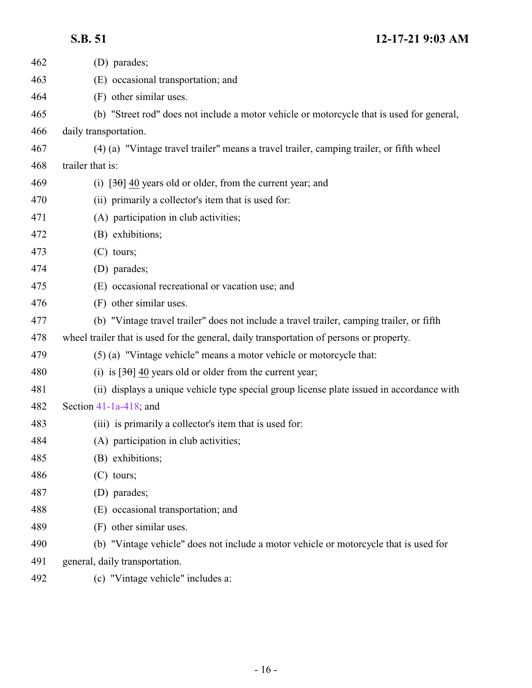| 462 | (D) parades;                                                                              |
|-----|-------------------------------------------------------------------------------------------|
| 463 | (E) occasional transportation; and                                                        |
| 464 | (F) other similar uses.                                                                   |
| 465 | (b) "Street rod" does not include a motor vehicle or motorcycle that is used for general, |
| 466 | daily transportation.                                                                     |
| 467 | (4) (a) "Vintage travel trailer" means a travel trailer, camping trailer, or fifth wheel  |
| 468 | trailer that is:                                                                          |
| 469 | (i) $[3\theta]$ 40 years old or older, from the current year; and                         |
| 470 | (ii) primarily a collector's item that is used for:                                       |
| 471 | (A) participation in club activities;                                                     |
| 472 | (B) exhibitions;                                                                          |
| 473 | $(C)$ tours;                                                                              |
| 474 | (D) parades;                                                                              |
| 475 | (E) occasional recreational or vacation use; and                                          |
| 476 | (F) other similar uses.                                                                   |
| 477 | (b) "Vintage travel trailer" does not include a travel trailer, camping trailer, or fifth |
| 478 | wheel trailer that is used for the general, daily transportation of persons or property.  |
| 479 | (5) (a) "Vintage vehicle" means a motor vehicle or motorcycle that:                       |
| 480 | (i) is $[30, 40]$ years old or older from the current year;                               |
| 481 | (ii) displays a unique vehicle type special group license plate issued in accordance with |
| 482 | Section $41-1a-418$ ; and                                                                 |
| 483 | (iii) is primarily a collector's item that is used for:                                   |
| 484 | (A) participation in club activities;                                                     |
| 485 | (B) exhibitions;                                                                          |
| 486 | $(C)$ tours;                                                                              |
| 487 | (D) parades;                                                                              |
| 488 | (E) occasional transportation; and                                                        |
| 489 | (F) other similar uses.                                                                   |
| 490 | (b) "Vintage vehicle" does not include a motor vehicle or motorcycle that is used for     |
| 491 | general, daily transportation.                                                            |
| 492 | (c) "Vintage vehicle" includes a:                                                         |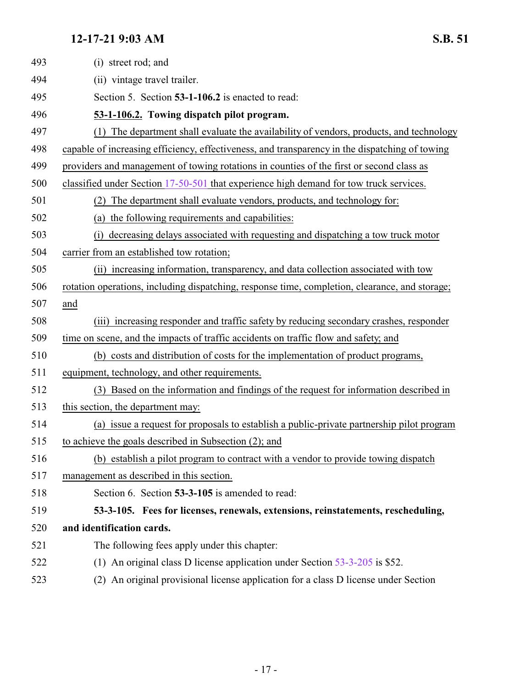<span id="page-16-1"></span><span id="page-16-0"></span>

| 493 | (i) street rod; and                                                                            |
|-----|------------------------------------------------------------------------------------------------|
| 494 | (ii) vintage travel trailer.                                                                   |
| 495 | Section 5. Section 53-1-106.2 is enacted to read:                                              |
| 496 | 53-1-106.2. Towing dispatch pilot program.                                                     |
| 497 | The department shall evaluate the availability of vendors, products, and technology<br>(1)     |
| 498 | capable of increasing efficiency, effectiveness, and transparency in the dispatching of towing |
| 499 | providers and management of towing rotations in counties of the first or second class as       |
| 500 | classified under Section 17-50-501 that experience high demand for tow truck services.         |
| 501 | The department shall evaluate vendors, products, and technology for:<br>(2)                    |
| 502 | (a) the following requirements and capabilities:                                               |
| 503 | decreasing delays associated with requesting and dispatching a tow truck motor                 |
| 504 | carrier from an established tow rotation;                                                      |
| 505 | (ii) increasing information, transparency, and data collection associated with tow             |
| 506 | rotation operations, including dispatching, response time, completion, clearance, and storage; |
| 507 | and                                                                                            |
| 508 | (iii) increasing responder and traffic safety by reducing secondary crashes, responder         |
| 509 | time on scene, and the impacts of traffic accidents on traffic flow and safety; and            |
| 510 | (b) costs and distribution of costs for the implementation of product programs,                |
| 511 | equipment, technology, and other requirements.                                                 |
| 512 | (3) Based on the information and findings of the request for information described in          |
| 513 | this section, the department may:                                                              |
| 514 | (a) issue a request for proposals to establish a public-private partnership pilot program      |
| 515 | to achieve the goals described in Subsection (2); and                                          |
| 516 | (b) establish a pilot program to contract with a vendor to provide towing dispatch             |
| 517 | management as described in this section.                                                       |
| 518 | Section 6. Section 53-3-105 is amended to read:                                                |
| 519 | 53-3-105. Fees for licenses, renewals, extensions, reinstatements, rescheduling,               |
| 520 | and identification cards.                                                                      |
| 521 | The following fees apply under this chapter:                                                   |
| 522 | (1) An original class D license application under Section $53-3-205$ is \$52.                  |
| 523 | (2) An original provisional license application for a class D license under Section            |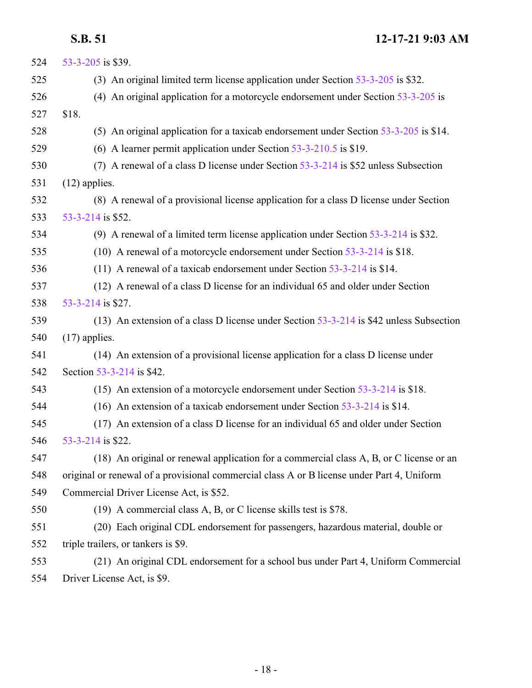| 524 | 53-3-205 is \$39.                                                                          |
|-----|--------------------------------------------------------------------------------------------|
| 525 | (3) An original limited term license application under Section 53-3-205 is \$32.           |
| 526 | (4) An original application for a motorcycle endorsement under Section $53-3-205$ is       |
| 527 | \$18.                                                                                      |
| 528 | (5) An original application for a taxicab endorsement under Section 53-3-205 is \$14.      |
| 529 | (6) A learner permit application under Section $53-3-210.5$ is \$19.                       |
| 530 | (7) A renewal of a class D license under Section 53-3-214 is \$52 unless Subsection        |
| 531 | $(12)$ applies.                                                                            |
| 532 | (8) A renewal of a provisional license application for a class D license under Section     |
| 533 | 53-3-214 is \$52.                                                                          |
| 534 | (9) A renewal of a limited term license application under Section $53-3-214$ is \$32.      |
| 535 | (10) A renewal of a motorcycle endorsement under Section 53-3-214 is \$18.                 |
| 536 | (11) A renewal of a taxicab endorsement under Section $53-3-214$ is \$14.                  |
| 537 | (12) A renewal of a class D license for an individual 65 and older under Section           |
| 538 | 53-3-214 is \$27.                                                                          |
| 539 | (13) An extension of a class D license under Section $53-3-214$ is \$42 unless Subsection  |
| 540 | $(17)$ applies.                                                                            |
| 541 | (14) An extension of a provisional license application for a class D license under         |
| 542 | Section 53-3-214 is \$42.                                                                  |
| 543 | (15) An extension of a motorcycle endorsement under Section $53-3-214$ is \$18.            |
| 544 | (16) An extension of a taxicab endorsement under Section $53-3-214$ is \$14.               |
| 545 | (17) An extension of a class D license for an individual 65 and older under Section        |
| 546 | 53-3-214 is \$22.                                                                          |
| 547 | (18) An original or renewal application for a commercial class A, B, or C license or an    |
| 548 | original or renewal of a provisional commercial class A or B license under Part 4, Uniform |
| 549 | Commercial Driver License Act, is \$52.                                                    |
| 550 | (19) A commercial class A, B, or C license skills test is \$78.                            |
| 551 | (20) Each original CDL endorsement for passengers, hazardous material, double or           |
| 552 | triple trailers, or tankers is \$9.                                                        |
| 553 | (21) An original CDL endorsement for a school bus under Part 4, Uniform Commercial         |
| 554 | Driver License Act, is \$9.                                                                |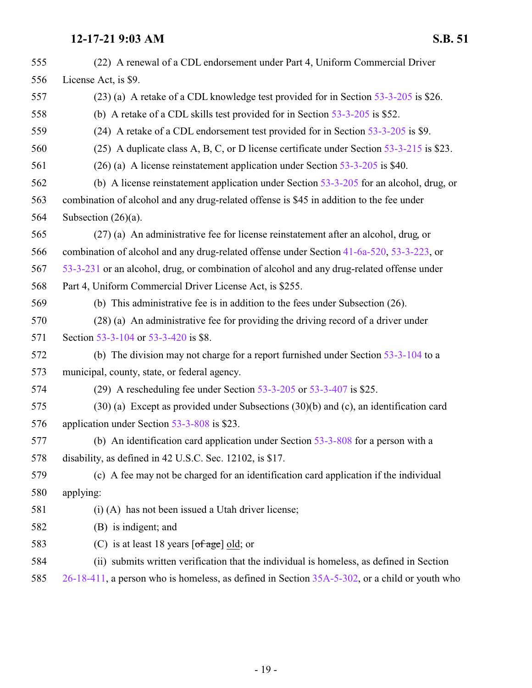| 555 | (22) A renewal of a CDL endorsement under Part 4, Uniform Commercial Driver                   |
|-----|-----------------------------------------------------------------------------------------------|
| 556 | License Act, is \$9.                                                                          |
| 557 | (23) (a) A retake of a CDL knowledge test provided for in Section 53-3-205 is \$26.           |
| 558 | (b) A retake of a CDL skills test provided for in Section $53-3-205$ is \$52.                 |
| 559 | (24) A retake of a CDL endorsement test provided for in Section 53-3-205 is \$9.              |
| 560 | (25) A duplicate class A, B, C, or D license certificate under Section 53-3-215 is \$23.      |
| 561 | $(26)$ (a) A license reinstatement application under Section 53-3-205 is \$40.                |
| 562 | (b) A license reinstatement application under Section $53-3-205$ for an alcohol, drug, or     |
| 563 | combination of alcohol and any drug-related offense is \$45 in addition to the fee under      |
| 564 | Subsection $(26)(a)$ .                                                                        |
| 565 | (27) (a) An administrative fee for license reinstatement after an alcohol, drug, or           |
| 566 | combination of alcohol and any drug-related offense under Section 41-6a-520, 53-3-223, or     |
| 567 | 53-3-231 or an alcohol, drug, or combination of alcohol and any drug-related offense under    |
| 568 | Part 4, Uniform Commercial Driver License Act, is \$255.                                      |
| 569 | (b) This administrative fee is in addition to the fees under Subsection $(26)$ .              |
| 570 | (28) (a) An administrative fee for providing the driving record of a driver under             |
| 571 | Section 53-3-104 or 53-3-420 is \$8.                                                          |
| 572 | (b) The division may not charge for a report furnished under Section 53-3-104 to a            |
| 573 | municipal, county, state, or federal agency.                                                  |
| 574 | (29) A rescheduling fee under Section $53-3-205$ or $53-3-407$ is \$25.                       |
| 575 | $(30)$ (a) Except as provided under Subsections $(30)(b)$ and (c), an identification card     |
| 576 | application under Section 53-3-808 is \$23.                                                   |
| 577 | (b) An identification card application under Section $53-3-808$ for a person with a           |
| 578 | disability, as defined in 42 U.S.C. Sec. 12102, is \$17.                                      |
| 579 | (c) A fee may not be charged for an identification card application if the individual         |
| 580 | applying:                                                                                     |
| 581 | $(i)$ (A) has not been issued a Utah driver license;                                          |
| 582 | (B) is indigent; and                                                                          |
| 583 | (C) is at least 18 years $[of age]$ old; or                                                   |
| 584 | (ii) submits written verification that the individual is homeless, as defined in Section      |
| 585 | 26-18-411, a person who is homeless, as defined in Section 35A-5-302, or a child or youth who |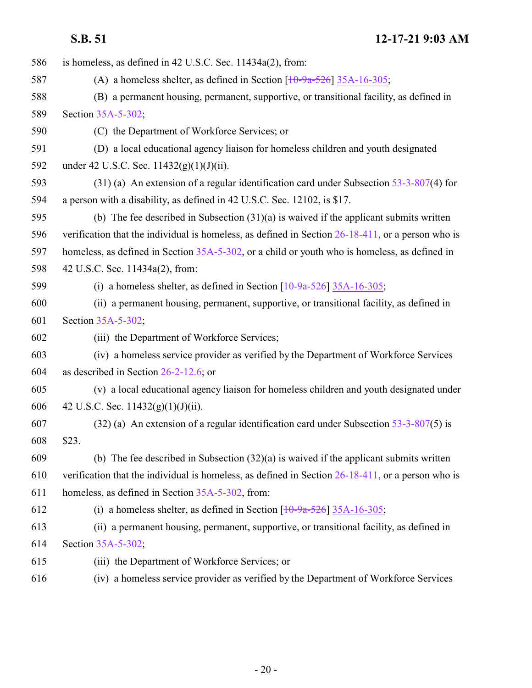| 586 | is homeless, as defined in 42 U.S.C. Sec. 11434a(2), from:                                           |
|-----|------------------------------------------------------------------------------------------------------|
| 587 | (A) a homeless shelter, as defined in Section $\left[10\text{-}9a\text{-}526\right]$ 35A-16-305;     |
| 588 | (B) a permanent housing, permanent, supportive, or transitional facility, as defined in              |
| 589 | Section 35A-5-302;                                                                                   |
| 590 | (C) the Department of Workforce Services; or                                                         |
| 591 | (D) a local educational agency liaison for homeless children and youth designated                    |
| 592 | under 42 U.S.C. Sec. $11432(g)(1)(J)(ii)$ .                                                          |
| 593 | $(31)$ (a) An extension of a regular identification card under Subsection 53-3-807(4) for            |
| 594 | a person with a disability, as defined in 42 U.S.C. Sec. 12102, is \$17.                             |
| 595 | (b) The fee described in Subsection $(31)(a)$ is waived if the applicant submits written             |
| 596 | verification that the individual is homeless, as defined in Section $26-18-411$ , or a person who is |
| 597 | homeless, as defined in Section 35A-5-302, or a child or youth who is homeless, as defined in        |
| 598 | 42 U.S.C. Sec. 11434a(2), from:                                                                      |
| 599 | (i) a homeless shelter, as defined in Section $\left[10\text{-}9a\text{-}526\right]$ 35A-16-305;     |
| 600 | (ii) a permanent housing, permanent, supportive, or transitional facility, as defined in             |
| 601 | Section 35A-5-302;                                                                                   |
| 602 | (iii) the Department of Workforce Services;                                                          |
| 603 | (iv) a homeless service provider as verified by the Department of Workforce Services                 |
| 604 | as described in Section $26-2-12.6$ ; or                                                             |
| 605 | (v) a local educational agency liaison for homeless children and youth designated under              |
| 606 | 42 U.S.C. Sec. $11432(g)(1)(J)(ii)$ .                                                                |
| 607 | $(32)$ (a) An extension of a regular identification card under Subsection 53-3-807(5) is             |
| 608 | \$23.                                                                                                |
| 609 | (b) The fee described in Subsection $(32)(a)$ is waived if the applicant submits written             |
| 610 | verification that the individual is homeless, as defined in Section $26-18-411$ , or a person who is |
| 611 | homeless, as defined in Section 35A-5-302, from:                                                     |
| 612 | (i) a homeless shelter, as defined in Section $\left[10\text{-}9a\text{-}526\right]$ 35A-16-305;     |
| 613 | (ii) a permanent housing, permanent, supportive, or transitional facility, as defined in             |
| 614 | Section 35A-5-302;                                                                                   |
| 615 | (iii) the Department of Workforce Services; or                                                       |
| 616 | (iv) a homeless service provider as verified by the Department of Workforce Services                 |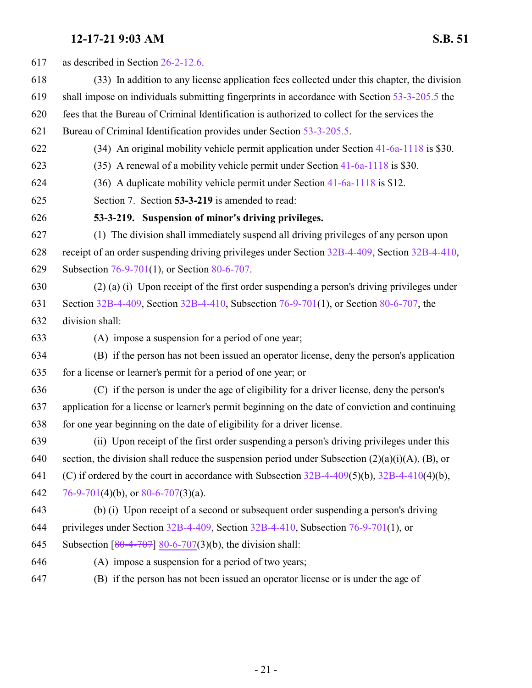<span id="page-20-0"></span>

| 617 | as described in Section 26-2-12.6.                                                                    |
|-----|-------------------------------------------------------------------------------------------------------|
| 618 | (33) In addition to any license application fees collected under this chapter, the division           |
| 619 | shall impose on individuals submitting fingerprints in accordance with Section 53-3-205.5 the         |
| 620 | fees that the Bureau of Criminal Identification is authorized to collect for the services the         |
| 621 | Bureau of Criminal Identification provides under Section 53-3-205.5.                                  |
| 622 | (34) An original mobility vehicle permit application under Section 41-6a-1118 is \$30.                |
| 623 | (35) A renewal of a mobility vehicle permit under Section 41-6a-1118 is \$30.                         |
| 624 | (36) A duplicate mobility vehicle permit under Section 41-6a-1118 is \$12.                            |
| 625 | Section 7. Section 53-3-219 is amended to read:                                                       |
| 626 | 53-3-219. Suspension of minor's driving privileges.                                                   |
| 627 | (1) The division shall immediately suspend all driving privileges of any person upon                  |
| 628 | receipt of an order suspending driving privileges under Section 32B-4-409, Section 32B-4-410,         |
| 629 | Subsection 76-9-701(1), or Section 80-6-707.                                                          |
| 630 | (2) (a) (i) Upon receipt of the first order suspending a person's driving privileges under            |
| 631 | Section 32B-4-409, Section 32B-4-410, Subsection 76-9-701(1), or Section 80-6-707, the                |
| 632 | division shall:                                                                                       |
| 633 | (A) impose a suspension for a period of one year;                                                     |
| 634 | (B) if the person has not been issued an operator license, deny the person's application              |
| 635 | for a license or learner's permit for a period of one year; or                                        |
| 636 | (C) if the person is under the age of eligibility for a driver license, deny the person's             |
| 637 | application for a license or learner's permit beginning on the date of conviction and continuing      |
| 638 | for one year beginning on the date of eligibility for a driver license.                               |
| 639 | (ii) Upon receipt of the first order suspending a person's driving privileges under this              |
| 640 | section, the division shall reduce the suspension period under Subsection $(2)(a)(i)(A)$ , $(B)$ , or |
| 641 | (C) if ordered by the court in accordance with Subsection $32B-4-409(5)(b)$ , $32B-4-410(4)(b)$ ,     |
| 642 | 76-9-701(4)(b), or 80-6-707(3)(a).                                                                    |
| 643 | (b) (i) Upon receipt of a second or subsequent order suspending a person's driving                    |
| 644 | privileges under Section $32B-4-409$ , Section $32B-4-410$ , Subsection 76-9-701(1), or               |
| 645 | Subsection $[80-4-707]$ 80-6-707(3)(b), the division shall:                                           |
| 646 | (A) impose a suspension for a period of two years;                                                    |
| 647 | (B) if the person has not been issued an operator license or is under the age of                      |
|     |                                                                                                       |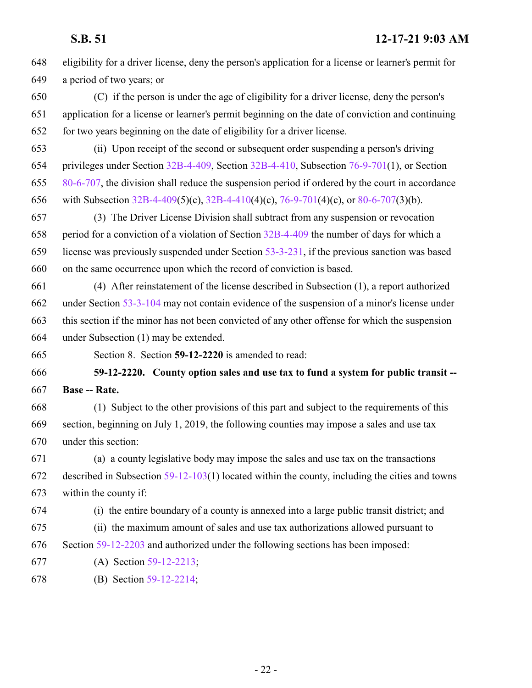<span id="page-21-0"></span> eligibility for a driver license, deny the person's application for a license or learner's permit for a period of two years; or (C) if the person is under the age of eligibility for a driver license, deny the person's application for a license or learner's permit beginning on the date of conviction and continuing for two years beginning on the date of eligibility for a driver license. (ii) Upon receipt of the second or subsequent order suspending a person's driving privileges under Section [32B-4-409](http://le.utah.gov/UtahCode/SectionLookup.jsp?section=32b-4-409&session=2022GS), Section [32B-4-410](http://le.utah.gov/UtahCode/SectionLookup.jsp?section=32b-4-410&session=2022GS), Subsection [76-9-701](http://le.utah.gov/UtahCode/SectionLookup.jsp?section=76-9-701&session=2022GS)(1), or Section [80-6-707](http://le.utah.gov/UtahCode/SectionLookup.jsp?section=80-6-707&session=2022GS), the division shall reduce the suspension period if ordered by the court in accordance with Subsection [32B-4-409](http://le.utah.gov/UtahCode/SectionLookup.jsp?section=32b-4-409&session=2022GS)(5)(c), [32B-4-410](http://le.utah.gov/UtahCode/SectionLookup.jsp?section=32b-4-410&session=2022GS)(4)(c), [76-9-701](http://le.utah.gov/UtahCode/SectionLookup.jsp?section=76-9-701&session=2022GS)(4)(c), or [80-6-707](http://le.utah.gov/UtahCode/SectionLookup.jsp?section=80-6-707&session=2022GS)(3)(b). (3) The Driver License Division shall subtract from any suspension or revocation period for a conviction of a violation of Section [32B-4-409](http://le.utah.gov/UtahCode/SectionLookup.jsp?section=32b-4-409&session=2022GS) the number of days for which a license was previously suspended under Section [53-3-231](http://le.utah.gov/UtahCode/SectionLookup.jsp?section=53-3-231&session=2022GS), if the previous sanction was based on the same occurrence upon which the record of conviction is based. (4) After reinstatement of the license described in Subsection (1), a report authorized under Section [53-3-104](http://le.utah.gov/UtahCode/SectionLookup.jsp?section=53-3-104&session=2022GS) may not contain evidence of the suspension of a minor's license under this section if the minor has not been convicted of any other offense for which the suspension under Subsection (1) may be extended. Section 8. Section **59-12-2220** is amended to read: **59-12-2220. County option sales and use tax to fund a system for public transit -- Base -- Rate.** (1) Subject to the other provisions of this part and subject to the requirements of this section, beginning on July 1, 2019, the following counties may impose a sales and use tax under this section: (a) a county legislative body may impose the sales and use tax on the transactions described in Subsection [59-12-103](http://le.utah.gov/UtahCode/SectionLookup.jsp?section=59-12-103&session=2022GS)(1) located within the county, including the cities and towns within the county if: (i) the entire boundary of a county is annexed into a large public transit district; and (ii) the maximum amount of sales and use tax authorizations allowed pursuant to Section [59-12-2203](http://le.utah.gov/UtahCode/SectionLookup.jsp?section=59-12-2203&session=2022GS) and authorized under the following sections has been imposed: (A) Section [59-12-2213](http://le.utah.gov/UtahCode/SectionLookup.jsp?section=59-12-2213&session=2022GS); (B) Section [59-12-2214](http://le.utah.gov/UtahCode/SectionLookup.jsp?section=59-12-2214&session=2022GS);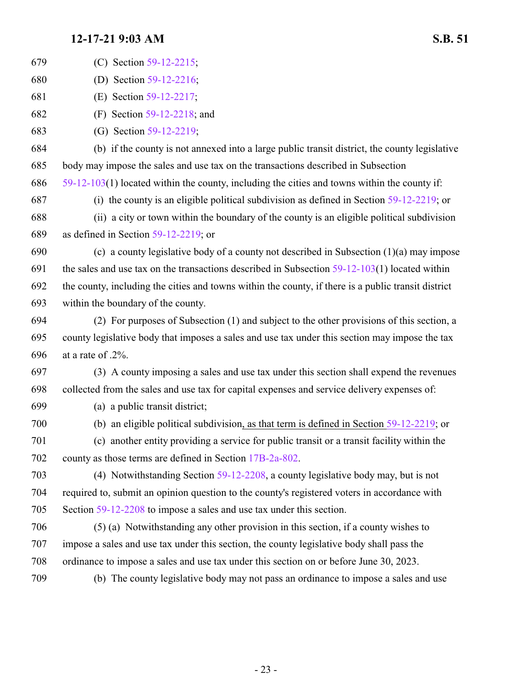| 679 | (C) Section 59-12-2215;                                                                             |
|-----|-----------------------------------------------------------------------------------------------------|
| 680 | (D) Section 59-12-2216;                                                                             |
| 681 | (E) Section 59-12-2217;                                                                             |
| 682 | (F) Section $59-12-2218$ ; and                                                                      |
| 683 | (G) Section 59-12-2219;                                                                             |
| 684 | (b) if the county is not annexed into a large public transit district, the county legislative       |
| 685 | body may impose the sales and use tax on the transactions described in Subsection                   |
| 686 | $59-12-103(1)$ located within the county, including the cities and towns within the county if:      |
| 687 | (i) the county is an eligible political subdivision as defined in Section $59-12-2219$ ; or         |
| 688 | (ii) a city or town within the boundary of the county is an eligible political subdivision          |
| 689 | as defined in Section $59-12-2219$ ; or                                                             |
| 690 | (c) a county legislative body of a county not described in Subsection $(1)(a)$ may impose           |
| 691 | the sales and use tax on the transactions described in Subsection $59-12-103(1)$ located within     |
| 692 | the county, including the cities and towns within the county, if there is a public transit district |
| 693 | within the boundary of the county.                                                                  |
| 694 | (2) For purposes of Subsection (1) and subject to the other provisions of this section, a           |
| 695 | county legislative body that imposes a sales and use tax under this section may impose the tax      |
| 696 | at a rate of .2%.                                                                                   |
| 697 | (3) A county imposing a sales and use tax under this section shall expend the revenues              |
| 698 | collected from the sales and use tax for capital expenses and service delivery expenses of:         |
| 699 | (a) a public transit district;                                                                      |
| 700 | (b) an eligible political subdivision, as that term is defined in Section $59-12-2219$ ; or         |
| 701 | (c) another entity providing a service for public transit or a transit facility within the          |
| 702 | county as those terms are defined in Section 17B-2a-802.                                            |
| 703 | (4) Notwithstanding Section 59-12-2208, a county legislative body may, but is not                   |
| 704 | required to, submit an opinion question to the county's registered voters in accordance with        |
| 705 | Section 59-12-2208 to impose a sales and use tax under this section.                                |
| 706 | (5) (a) Notwithstanding any other provision in this section, if a county wishes to                  |
| 707 | impose a sales and use tax under this section, the county legislative body shall pass the           |
| 708 | ordinance to impose a sales and use tax under this section on or before June 30, 2023.              |
| 709 | (b) The county legislative body may not pass an ordinance to impose a sales and use                 |
|     |                                                                                                     |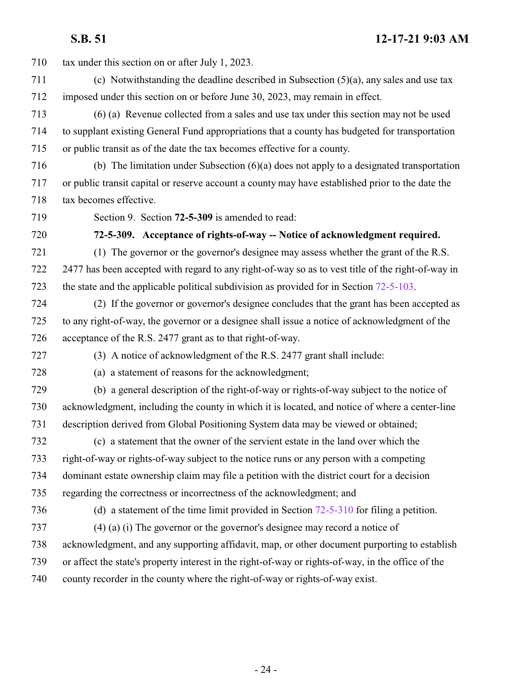<span id="page-23-0"></span> tax under this section on or after July 1, 2023. (c) Notwithstanding the deadline described in Subsection (5)(a), any sales and use tax imposed under this section on or before June 30, 2023, may remain in effect. (6) (a) Revenue collected from a sales and use tax under this section may not be used to supplant existing General Fund appropriations that a county has budgeted for transportation or public transit as of the date the tax becomes effective for a county. (b) The limitation under Subsection (6)(a) does not apply to a designated transportation or public transit capital or reserve account a county may have established prior to the date the tax becomes effective. Section 9. Section **72-5-309** is amended to read: **72-5-309. Acceptance of rights-of-way -- Notice of acknowledgment required.** (1) The governor or the governor's designee may assess whether the grant of the R.S. 2477 has been accepted with regard to any right-of-way so as to vest title of the right-of-way in the state and the applicable political subdivision as provided for in Section [72-5-103](http://le.utah.gov/UtahCode/SectionLookup.jsp?section=72-5-103&session=2022GS). (2) If the governor or governor's designee concludes that the grant has been accepted as to any right-of-way, the governor or a designee shall issue a notice of acknowledgment of the acceptance of the R.S. 2477 grant as to that right-of-way. (3) A notice of acknowledgment of the R.S. 2477 grant shall include: (a) a statement of reasons for the acknowledgment; (b) a general description of the right-of-way or rights-of-way subject to the notice of acknowledgment, including the county in which it is located, and notice of where a center-line description derived from Global Positioning System data may be viewed or obtained; (c) a statement that the owner of the servient estate in the land over which the right-of-way or rights-of-way subject to the notice runs or any person with a competing dominant estate ownership claim may file a petition with the district court for a decision regarding the correctness or incorrectness of the acknowledgment; and (d) a statement of the time limit provided in Section [72-5-310](http://le.utah.gov/UtahCode/SectionLookup.jsp?section=72-5-310&session=2022GS) for filing a petition. (4) (a) (i) The governor or the governor's designee may record a notice of acknowledgment, and any supporting affidavit, map, or other document purporting to establish or affect the state's property interest in the right-of-way or rights-of-way, in the office of the county recorder in the county where the right-of-way or rights-of-way exist.